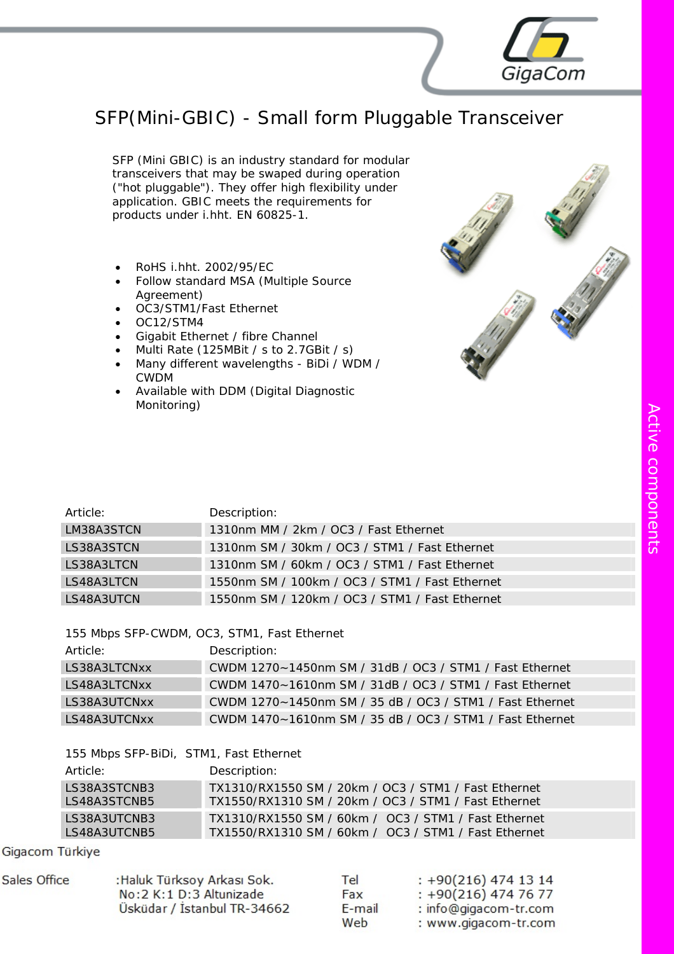## SFP(Mini-GBIC) - Small form Pluggable Transceiver

SFP (Mini GBIC) is an industry standard for modular transceivers that may be swaped during operation ("hot pluggable"). They offer high flexibility under application. GBIC meets the requirements for products under i.hht. EN 60825-1.

- RoHS i.hht. 2002/95/EC
- Follow standard MSA (Multiple Source Agreement)
- OC3/STM1/Fast Ethernet
- OC12/STM4
- Gigabit Ethernet / fibre Channel
- Multi Rate (125MBit / s to 2.7GBit / s)
- Many different wavelengths BiDi / WDM / CWDM
- Available with DDM (Digital Diagnostic Monitoring)



GigaCom

| Article:   | Description:                                   |
|------------|------------------------------------------------|
| LM38A3STCN | 1310nm MM / 2km / OC3 / Fast Ethernet          |
| LS38A3STCN | 1310nm SM / 30km / OC3 / STM1 / Fast Ethernet  |
| LS38A3LTCN | 1310nm SM / 60km / OC3 / STM1 / Fast Ethernet  |
| LS48A3LTCN | 1550nm SM / 100km / OC3 / STM1 / Fast Ethernet |
| LS48A3UTCN | 1550nm SM / 120km / OC3 / STM1 / Fast Ethernet |

155 Mbps SFP-CWDM, OC3, STM1, Fast Ethernet

| Article:     | Description:                                             |
|--------------|----------------------------------------------------------|
| LS38A3LTCNxx | CWDM 1270~1450nm SM / 31dB / OC3 / STM1 / Fast Ethernet  |
| LS48A3LTCNxx | CWDM 1470~1610nm SM / 31dB / OC3 / STM1 / Fast Ethernet  |
| LS38A3UTCNxx | CWDM 1270~1450nm SM / 35 dB / OC3 / STM1 / Fast Ethernet |
| LS48A3UTCNxx | CWDM 1470~1610nm SM / 35 dB / OC3 / STM1 / Fast Ethernet |

|  |  | 155 Mbps SFP-BiDi, STM1, Fast Ethernet |  |  |  |
|--|--|----------------------------------------|--|--|--|
|--|--|----------------------------------------|--|--|--|

| Article:     | Description:                                         |
|--------------|------------------------------------------------------|
| LS38A3STCNB3 | TX1310/RX1550 SM / 20km / OC3 / STM1 / Fast Ethernet |
| LS48A3STCNB5 | TX1550/RX1310 SM / 20km / OC3 / STM1 / Fast Ethernet |
| IS38A3UTCNB3 | TX1310/RX1550 SM / 60km / OC3 / STM1 / Fast Ethernet |
| LS48A3UTCNB5 | TX1550/RX1310 SM / 60km / OC3 / STM1 / Fast Ethernet |

Gigacom Türkiye

| Sales Office | :Haluk Türksoy Arkası Sok.  | Tel    | $: +90(216)$ 474 13 14 |
|--------------|-----------------------------|--------|------------------------|
|              | No: 2 K: 1 D: 3 Altunizade  | Fax    | $: +90(216)$ 474 76 77 |
|              | Üsküdar / İstanbul TR-34662 | E-mail | : info@gigacom-tr.com  |
|              |                             | Web    | : www.gigacom-tr.com   |

 $\blacktriangleright$